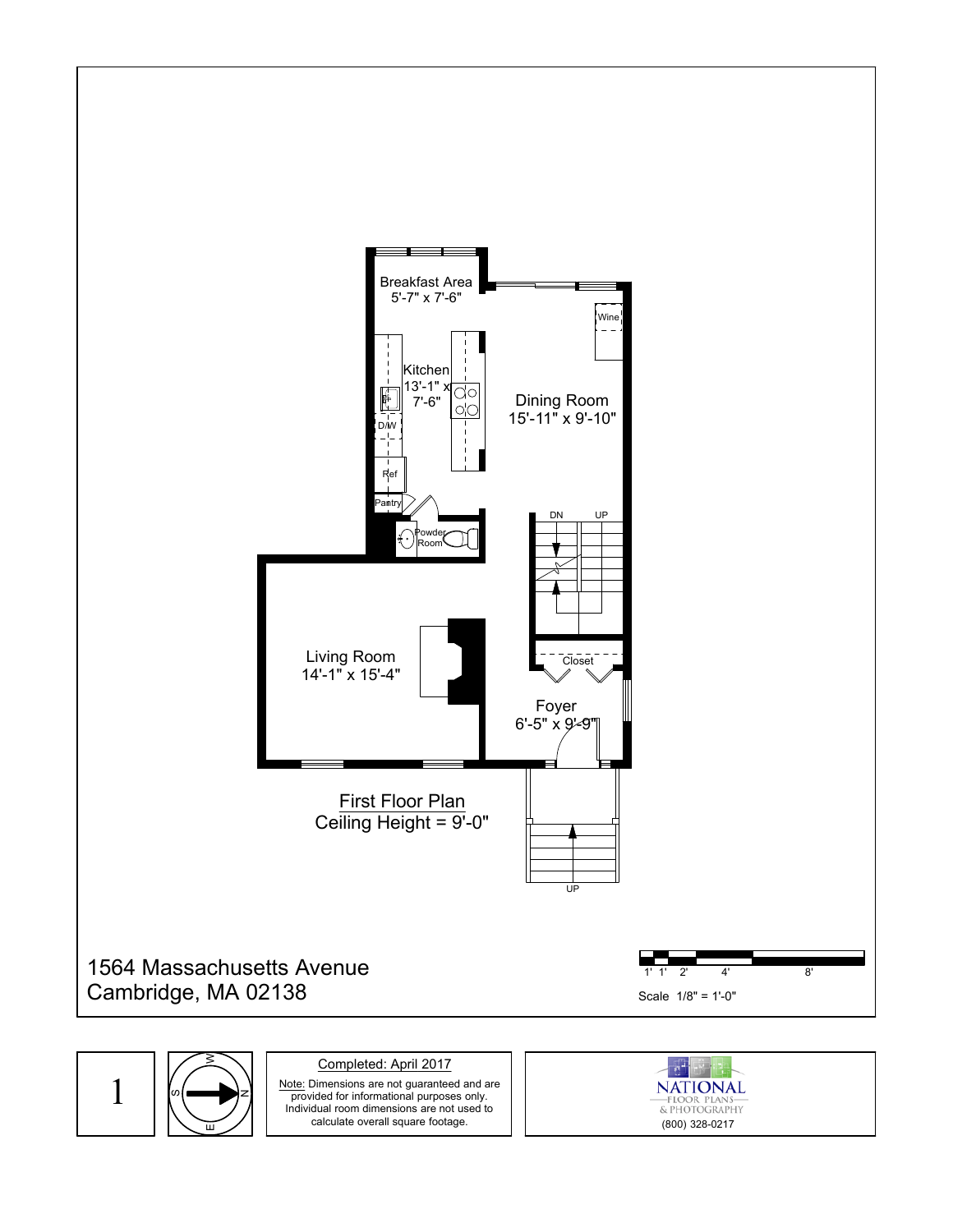

1 ທ z ⋧ E

Completed: April 2017

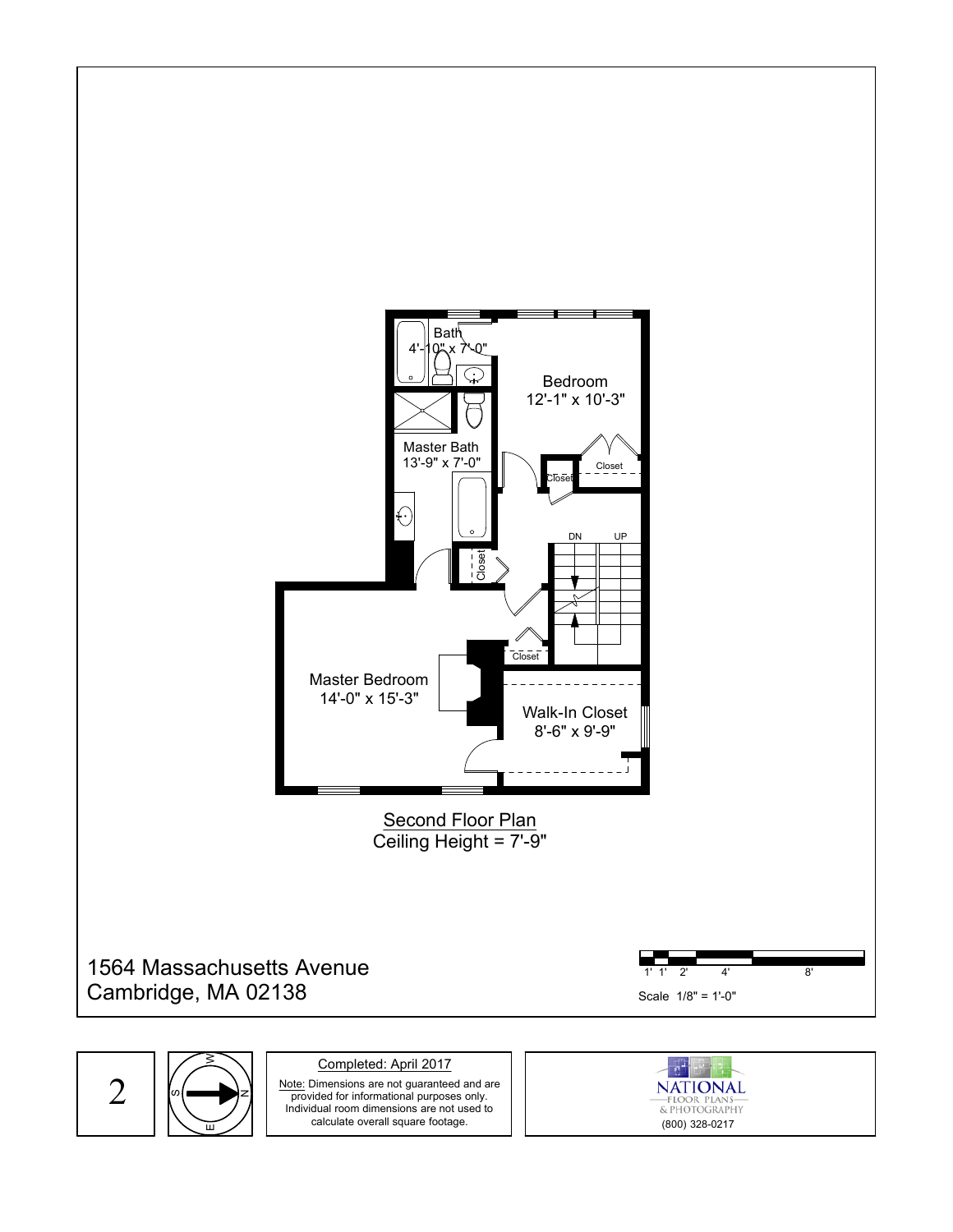



z

⋧

E

Completed: April 2017

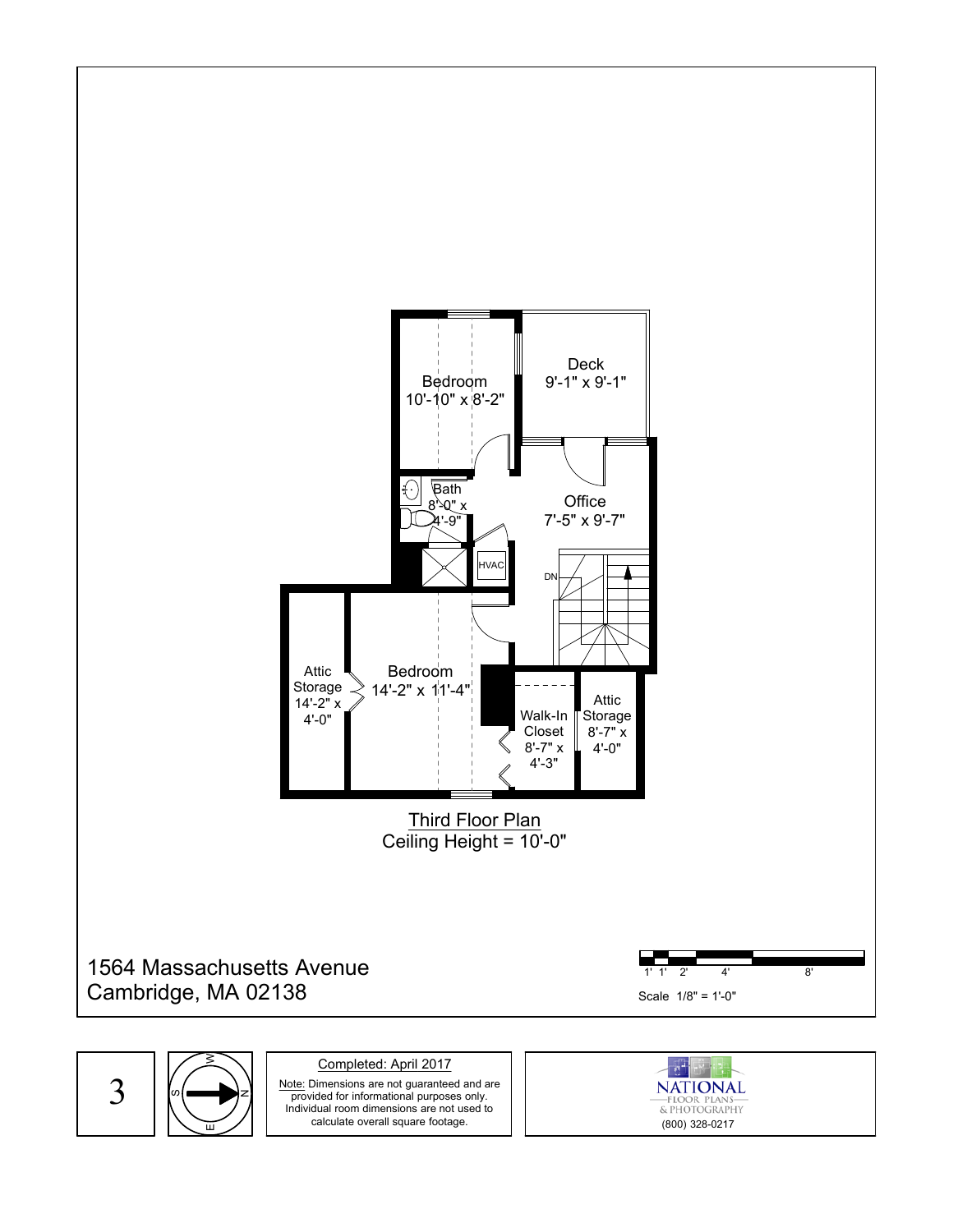



z

⋧

E

Completed: April 2017